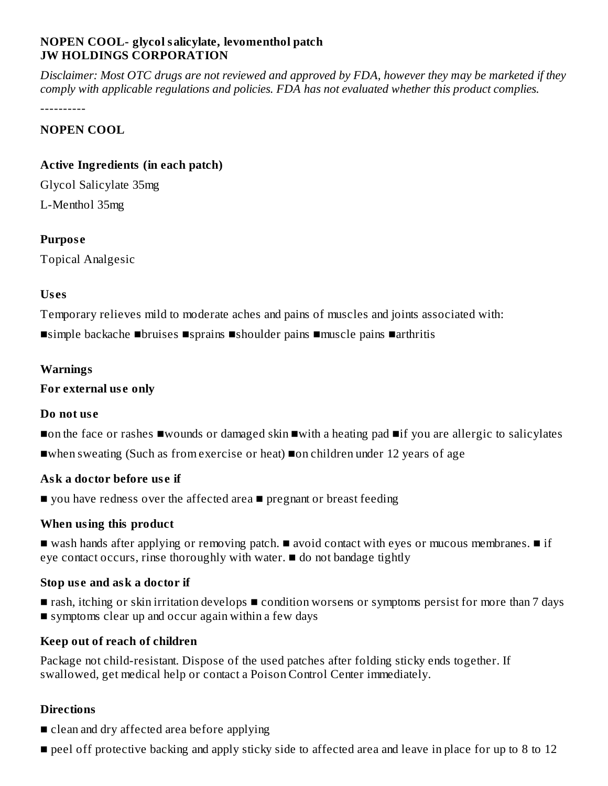### **NOPEN COOL- glycol salicylate, levomenthol patch JW HOLDINGS CORPORATION**

Disclaimer: Most OTC drugs are not reviewed and approved by FDA, however they may be marketed if they *comply with applicable regulations and policies. FDA has not evaluated whether this product complies.*

----------

### **NOPEN COOL**

### **Active Ingredients (in each patch)**

Glycol Salicylate 35mg L-Menthol 35mg

### **Purpos e**

Topical Analgesic

### **Us es**

Temporary relieves mild to moderate aches and pains of muscles and joints associated with:

■simple backache ■bruises ■sprains ■shoulder pains ■muscle pains ■arthritis

### **Warnings**

### **For external us e only**

### **Do not us e**

■on the face or rashes ■wounds or damaged skin ■with a heating pad ■if you are allergic to salicylates ■when sweating (Such as from exercise or heat) ■on children under 12 years of age

# **Ask a doctor before us e if**

■ you have redness over the affected area ■ pregnant or breast feeding

# **When using this product**

■ wash hands after applying or removing patch. ■ avoid contact with eyes or mucous membranes. ■ if eye contact occurs, rinse thoroughly with water. ■ do not bandage tightly

# **Stop us e and ask a doctor if**

- rash, itching or skin irritation develops condition worsens or symptoms persist for more than 7 days
- symptoms clear up and occur again within a few days

# **Keep out of reach of children**

Package not child-resistant. Dispose of the used patches after folding sticky ends together. If swallowed, get medical help or contact a Poison Control Center immediately.

# **Directions**

- clean and dry affected area before applying
- peel off protective backing and apply sticky side to affected area and leave in place for up to 8 to 12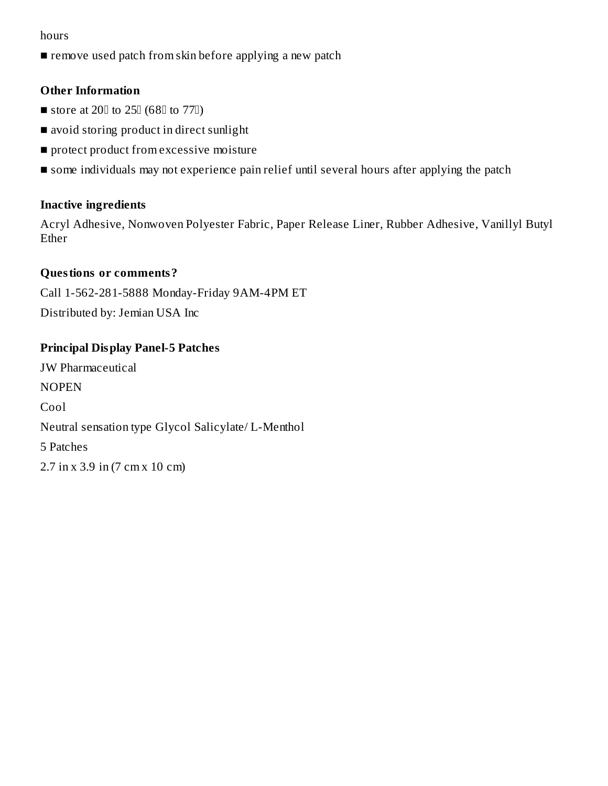#### hours

■ remove used patch from skin before applying a new patch

### **Other Information**

- $\blacksquare$  store at 20 $\blacksquare$  to 25 $\blacksquare$  (68 $\blacksquare$  to 77 $\blacksquare$ )
- avoid storing product in direct sunlight
- protect product from excessive moisture
- some individuals may not experience pain relief until several hours after applying the patch

#### **Inactive ingredients**

Acryl Adhesive, Nonwoven Polyester Fabric, Paper Release Liner, Rubber Adhesive, Vanillyl Butyl Ether

#### **Questions or comments?**

Call 1-562-281-5888 Monday-Friday 9AM-4PM ET

Distributed by: Jemian USA Inc

### **Principal Display Panel-5 Patches**

JW Pharmaceutical **NOPEN** Cool Neutral sensation type Glycol Salicylate/ L-Menthol 5 Patches 2.7 in x 3.9 in (7 cm x 10 cm)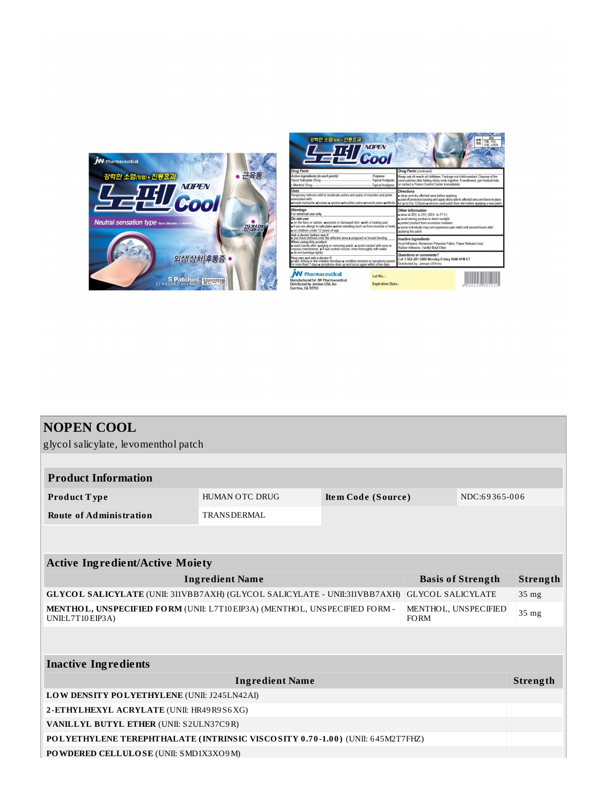

| 강력한 소염(양양 - 진동효과<br>5 Z 15                                                                                                                                                                                                                                                                                      | <b>NOPEN</b><br><b>L</b> Cool       |                                                                                                                                                                                                                                                       | 264<br>12년 통사<br>树皮<br>수례 소영제 |  |  |  |
|-----------------------------------------------------------------------------------------------------------------------------------------------------------------------------------------------------------------------------------------------------------------------------------------------------------------|-------------------------------------|-------------------------------------------------------------------------------------------------------------------------------------------------------------------------------------------------------------------------------------------------------|-------------------------------|--|--|--|
| <b>Drug Facts</b>                                                                                                                                                                                                                                                                                               |                                     | Drug Facts (continued)                                                                                                                                                                                                                                |                               |  |  |  |
| Active ingredients (in each patch)                                                                                                                                                                                                                                                                              | Purpose                             | Keep out of reach of children, Package not child-resistant. Dispose of the<br>used patches after folding sticky ends together. If swallowed, get medical help<br>or contact a Poison Control Center immediately.                                      |                               |  |  |  |
| Uses<br>Temporary relieves mild to moderate aches and pains of muscles and ioints<br>associated with:<br>simple backache ubruises a sprains ashoulder pains amuscle pains aarthritis                                                                                                                            |                                     | <b>Directions</b><br>clean and dry affected area before applying<br>peel off protective backing and apply sticky side to affected area and leave in place<br>for up to 8 to 12 hours . remove used patch from skin before applying a new patch        |                               |  |  |  |
| <b>Warnings</b><br>For external use only<br>Do not use<br>on the face or rashes uwounds or damaged skin uwith a heating pad<br>in if you are allergic to salicylates wwhen sweating (such as from exercise or heat)<br>on children under 12 years of age                                                        |                                     | Other information<br>store at 20°C to 25°C (68°F to 77°F)<br>a avoid storing product in direct sunlight<br>protect product from excessive moisture<br>some individuals may not experience pain relief until several hours after<br>applying the patch |                               |  |  |  |
| Ask a doctor before use if<br>vou have redness over the affected area a pregnant or breast feeding<br>When using this product<br>wash hands after applying or removing patch. a avoid contact with eyes or<br>mucous membranes. . if eye contact occurs, rinse thoroughly with water.<br>do not bandage tightly |                                     | <b>Inactive ingredients</b><br>Acryl Adhesive, Nonwoven Polyester Fabric, Paper Release Liner,<br>Rubber Adhesive, Vanillvl Butvl Ether                                                                                                               |                               |  |  |  |
| Stop use and ask a doctor if<br>sa rash, itching or skin irritation develops a condition worsens or symptoms persist<br>for more than 7 days a symptoms clear up and occur again within a few days                                                                                                              |                                     | Questions or comments?<br>Call 1-562-281-5888 Monday-Friday 9AM-4PM ET<br>Distributed by: Jemian USA Inc.                                                                                                                                             |                               |  |  |  |
| <b>W</b> Pharmaceutical<br>Manufactured for JW Pharmaceutical<br>Distributed by Jemian USA, Inc.<br>$\cdots$                                                                                                                                                                                                    | Lot No.:<br><b>Expiration Date:</b> |                                                                                                                                                                                                                                                       | 88064498005420                |  |  |  |

| <b>NOPEN COOL</b>                                                                                                                    |                    |                    |               |  |          |  |  |
|--------------------------------------------------------------------------------------------------------------------------------------|--------------------|--------------------|---------------|--|----------|--|--|
| glycol salicylate, levomenthol patch                                                                                                 |                    |                    |               |  |          |  |  |
|                                                                                                                                      |                    |                    |               |  |          |  |  |
| <b>Product Information</b>                                                                                                           |                    |                    |               |  |          |  |  |
| <b>Product Type</b>                                                                                                                  | HUMAN OTC DRUG     | Item Code (Source) | NDC:69365-006 |  |          |  |  |
| <b>Route of Administration</b>                                                                                                       | <b>TRANSDERMAL</b> |                    |               |  |          |  |  |
|                                                                                                                                      |                    |                    |               |  |          |  |  |
|                                                                                                                                      |                    |                    |               |  |          |  |  |
| <b>Active Ingredient/Active Moiety</b>                                                                                               |                    |                    |               |  |          |  |  |
| <b>Ingredient Name</b><br><b>Basis of Strength</b>                                                                                   |                    |                    |               |  | Strength |  |  |
| GLYCOL SALICYLATE (UNII: 3I1VBB7AXH) (GLYCOL SALICYLATE - UNII:3I1VBB7AXH)<br><b>GLYCOL SALICYLATE</b>                               |                    |                    |               |  | $35$ mg  |  |  |
| MENTHOL, UNSPECIFIED FORM (UNII: L7T10EIP3A) (MENTHOL, UNSPECIFIED FORM -<br>MENTHOL, UNSPECIFIED<br>UNII:L7T10EIP3A)<br><b>FORM</b> |                    |                    |               |  | 35 mg    |  |  |
|                                                                                                                                      |                    |                    |               |  |          |  |  |
|                                                                                                                                      |                    |                    |               |  |          |  |  |
| <b>Inactive Ingredients</b>                                                                                                          |                    |                    |               |  |          |  |  |
| <b>Ingredient Name</b>                                                                                                               |                    |                    |               |  |          |  |  |
| LOW DENSITY POLYETHYLENE (UNII: J245LN42AI)                                                                                          |                    |                    |               |  |          |  |  |
| 2-ETHYLHEXYL ACRYLATE (UNII: HR49R9S6XG)                                                                                             |                    |                    |               |  |          |  |  |
| VANILLYL BUTYL ETHER (UNII: S2ULN37C9R)                                                                                              |                    |                    |               |  |          |  |  |
| POLYETHYLENE TEREPHTHALATE (INTRINSIC VISCOSITY 0.70-1.00) (UNII: 645M2T7FHZ)                                                        |                    |                    |               |  |          |  |  |
| PO WDERED CELLULOSE (UNII: SMD1X3XO9M)                                                                                               |                    |                    |               |  |          |  |  |